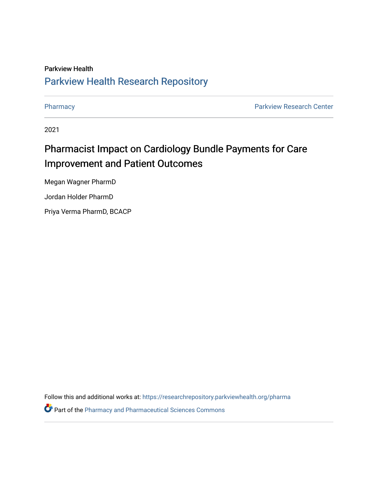### Parkview Health [Parkview Health Research Repository](https://researchrepository.parkviewhealth.org/)

[Pharmacy](https://researchrepository.parkviewhealth.org/pharma) **Pharmacy Pharmacy Pharmacy Pharmacy Pharmacy Pharmacy Pharmacy Pharmacy Pharmacy Pharmacy Pharmacy Pharmacy Pharmacy Pharmacy Pharmacy Pharmacy Pharmacy Pharmacy Pharmacy Pha** 

2021

### Pharmacist Impact on Cardiology Bundle Payments for Care Improvement and Patient Outcomes

Megan Wagner PharmD

Jordan Holder PharmD

Priya Verma PharmD, BCACP

Follow this and additional works at: [https://researchrepository.parkviewhealth.org/pharma](https://researchrepository.parkviewhealth.org/pharma?utm_source=researchrepository.parkviewhealth.org%2Fpharma%2F61&utm_medium=PDF&utm_campaign=PDFCoverPages) 

Part of the [Pharmacy and Pharmaceutical Sciences Commons](http://network.bepress.com/hgg/discipline/731?utm_source=researchrepository.parkviewhealth.org%2Fpharma%2F61&utm_medium=PDF&utm_campaign=PDFCoverPages)